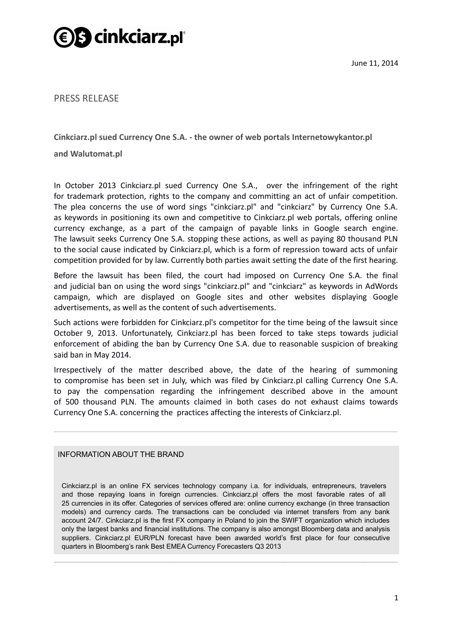

PRESS RELEASE

**Cinkciarz.pl sued Currency One S.A. - the owner of web portals Internetowykantor.pl** 

**and Walutomat.pl**

In October 2013 Cinkciarz.pl sued Currency One S.A., over the infringement of the right for trademark protection, rights to the company and committing an act of unfair competition. The plea concerns the use of word sings "cinkciarz.pl" and "cinkciarz" by Currency One S.A. as keywords in positioning its own and competitive to Cinkciarz.pl web portals, offering online currency exchange, as a part of the campaign of payable links in Google search engine. The lawsuit seeks Currency One S.A. stopping these actions, as well as paying 80 thousand PLN to the social cause indicated by Cinkciarz.pl, which is a form of repression toward acts of unfair competition provided for by law. Currently both parties await setting the date of the first hearing.

Before the lawsuit has been filed, the court had imposed on Currency One S.A. the final and judicial ban on using the word sings "cinkciarz.pl" and "cinkciarz" as keywords in AdWords campaign, which are displayed on Google sites and other websites displaying Google advertisements, as well as the content of such advertisements.

Such actions were forbidden for Cinkciarz.pl's competitor for the time being of the lawsuit since October 9, 2013. Unfortunately, Cinkciarz.pl has been forced to take steps towards judicial enforcement of abiding the ban by Currency One S.A. due to reasonable suspicion of breaking said ban in May 2014.

Irrespectively of the matter described above, the date of the hearing of summoning to compromise has been set in July, which was filed by Cinkciarz.pl calling Currency One S.A. to pay the compensation regarding the infringement described above in the amount of 500 thousand PLN. The amounts claimed in both cases do not exhaust claims towards Currency One S.A. concerning the practices affecting the interests of Cinkciarz.pl.

 $\_$  ,  $\_$  ,  $\_$  ,  $\_$  ,  $\_$  ,  $\_$  ,  $\_$  ,  $\_$  ,  $\_$  ,  $\_$  ,  $\_$  ,  $\_$  ,  $\_$  ,  $\_$  ,  $\_$  ,  $\_$  ,  $\_$  ,  $\_$  ,  $\_$ 

## INFORMATION ABOUT THE BRAND

Cinkciarz.pl is an online FX services technology company i.a. for individuals, entrepreneurs, travelers and those repaying loans in foreign currencies. Cinkciarz.pl offers the most favorable rates of all 25 currencies in its offer. Categories of services offered are: online currency exchange (in three transaction models) and currency cards. The transactions can be concluded via internet transfers from any bank account 24/7. Cinkciarz.pl is the first FX company in Poland to join the SWIFT organization which includes only the largest banks and financial institutions. The company is also amongst Bloomberg data and analysis suppliers. Cinkciarz.pl EUR/PLN forecast have been awarded world's first place for four consecutive quarters in Bloomberg's rank Best EMEA Currency Forecasters Q3 2013

 $\_$  , and the set of the set of the set of the set of the set of the set of the set of the set of the set of the set of the set of the set of the set of the set of the set of the set of the set of the set of the set of th